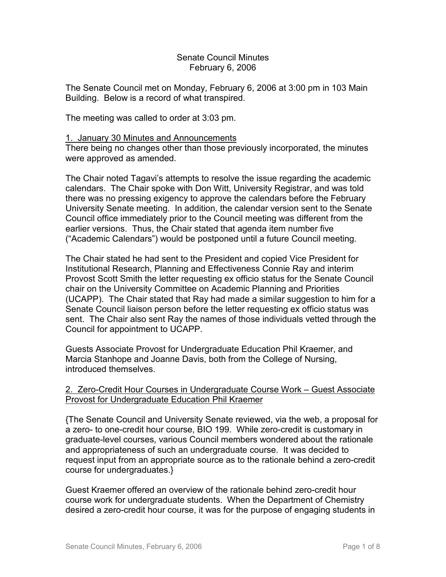## Senate Council Minutes February 6, 2006

The Senate Council met on Monday, February 6, 2006 at 3:00 pm in 103 Main Building. Below is a record of what transpired.

The meeting was called to order at 3:03 pm.

### 1. January 30 Minutes and Announcements

There being no changes other than those previously incorporated, the minutes were approved as amended.

The Chair noted Tagavi's attempts to resolve the issue regarding the academic calendars. The Chair spoke with Don Witt, University Registrar, and was told there was no pressing exigency to approve the calendars before the February University Senate meeting. In addition, the calendar version sent to the Senate Council office immediately prior to the Council meeting was different from the earlier versions. Thus, the Chair stated that agenda item number five ("Academic Calendars") would be postponed until a future Council meeting.

The Chair stated he had sent to the President and copied Vice President for Institutional Research, Planning and Effectiveness Connie Ray and interim Provost Scott Smith the letter requesting ex officio status for the Senate Council chair on the University Committee on Academic Planning and Priorities (UCAPP). The Chair stated that Ray had made a similar suggestion to him for a Senate Council liaison person before the letter requesting ex officio status was sent. The Chair also sent Ray the names of those individuals vetted through the Council for appointment to UCAPP.

Guests Associate Provost for Undergraduate Education Phil Kraemer, and Marcia Stanhope and Joanne Davis, both from the College of Nursing, introduced themselves.

# 2. Zero-Credit Hour Courses in Undergraduate Course Work – Guest Associate Provost for Undergraduate Education Phil Kraemer

{The Senate Council and University Senate reviewed, via the web, a proposal for a zero- to one-credit hour course, BIO 199. While zero-credit is customary in graduate-level courses, various Council members wondered about the rationale and appropriateness of such an undergraduate course. It was decided to request input from an appropriate source as to the rationale behind a zero-credit course for undergraduates.}

Guest Kraemer offered an overview of the rationale behind zero-credit hour course work for undergraduate students. When the Department of Chemistry desired a zero-credit hour course, it was for the purpose of engaging students in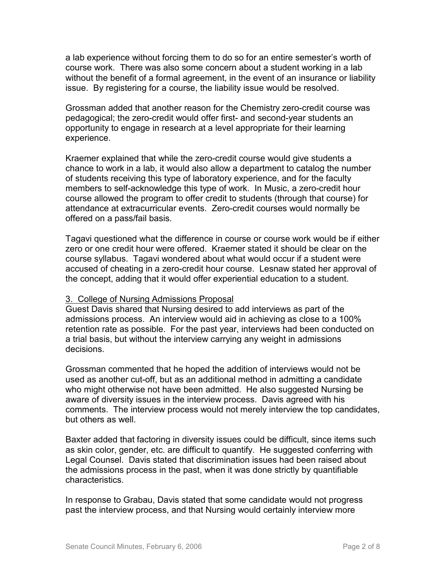a lab experience without forcing them to do so for an entire semester's worth of course work. There was also some concern about a student working in a lab without the benefit of a formal agreement, in the event of an insurance or liability issue. By registering for a course, the liability issue would be resolved.

Grossman added that another reason for the Chemistry zero-credit course was pedagogical; the zero-credit would offer first- and second-year students an opportunity to engage in research at a level appropriate for their learning experience.

Kraemer explained that while the zero-credit course would give students a chance to work in a lab, it would also allow a department to catalog the number of students receiving this type of laboratory experience, and for the faculty members to self-acknowledge this type of work. In Music, a zero-credit hour course allowed the program to offer credit to students (through that course) for attendance at extracurricular events. Zero-credit courses would normally be offered on a pass/fail basis.

Tagavi questioned what the difference in course or course work would be if either zero or one credit hour were offered. Kraemer stated it should be clear on the course syllabus. Tagavi wondered about what would occur if a student were accused of cheating in a zero-credit hour course. Lesnaw stated her approval of the concept, adding that it would offer experiential education to a student.

# 3. College of Nursing Admissions Proposal

Guest Davis shared that Nursing desired to add interviews as part of the admissions process. An interview would aid in achieving as close to a 100% retention rate as possible. For the past year, interviews had been conducted on a trial basis, but without the interview carrying any weight in admissions decisions.

Grossman commented that he hoped the addition of interviews would not be used as another cut-off, but as an additional method in admitting a candidate who might otherwise not have been admitted. He also suggested Nursing be aware of diversity issues in the interview process. Davis agreed with his comments. The interview process would not merely interview the top candidates, but others as well.

Baxter added that factoring in diversity issues could be difficult, since items such as skin color, gender, etc. are difficult to quantify. He suggested conferring with Legal Counsel. Davis stated that discrimination issues had been raised about the admissions process in the past, when it was done strictly by quantifiable characteristics.

In response to Grabau, Davis stated that some candidate would not progress past the interview process, and that Nursing would certainly interview more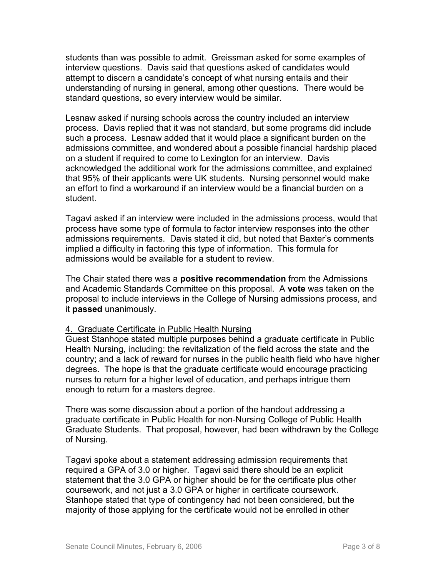students than was possible to admit. Greissman asked for some examples of interview questions. Davis said that questions asked of candidates would attempt to discern a candidate's concept of what nursing entails and their understanding of nursing in general, among other questions. There would be standard questions, so every interview would be similar.

Lesnaw asked if nursing schools across the country included an interview process. Davis replied that it was not standard, but some programs did include such a process. Lesnaw added that it would place a significant burden on the admissions committee, and wondered about a possible financial hardship placed on a student if required to come to Lexington for an interview. Davis acknowledged the additional work for the admissions committee, and explained that 95% of their applicants were UK students. Nursing personnel would make an effort to find a workaround if an interview would be a financial burden on a student.

Tagavi asked if an interview were included in the admissions process, would that process have some type of formula to factor interview responses into the other admissions requirements. Davis stated it did, but noted that Baxter's comments implied a difficulty in factoring this type of information. This formula for admissions would be available for a student to review.

The Chair stated there was a **positive recommendation** from the Admissions and Academic Standards Committee on this proposal. A **vote** was taken on the proposal to include interviews in the College of Nursing admissions process, and it **passed** unanimously.

### 4. Graduate Certificate in Public Health Nursing

Guest Stanhope stated multiple purposes behind a graduate certificate in Public Health Nursing, including: the revitalization of the field across the state and the country; and a lack of reward for nurses in the public health field who have higher degrees. The hope is that the graduate certificate would encourage practicing nurses to return for a higher level of education, and perhaps intrigue them enough to return for a masters degree.

There was some discussion about a portion of the handout addressing a graduate certificate in Public Health for non-Nursing College of Public Health Graduate Students. That proposal, however, had been withdrawn by the College of Nursing.

Tagavi spoke about a statement addressing admission requirements that required a GPA of 3.0 or higher. Tagavi said there should be an explicit statement that the 3.0 GPA or higher should be for the certificate plus other coursework, and not just a 3.0 GPA or higher in certificate coursework. Stanhope stated that type of contingency had not been considered, but the majority of those applying for the certificate would not be enrolled in other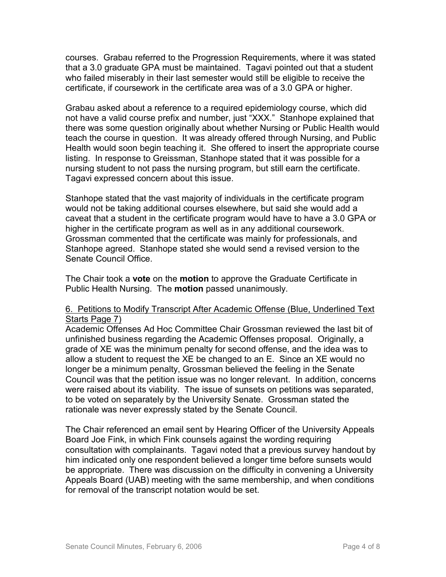courses. Grabau referred to the Progression Requirements, where it was stated that a 3.0 graduate GPA must be maintained. Tagavi pointed out that a student who failed miserably in their last semester would still be eligible to receive the certificate, if coursework in the certificate area was of a 3.0 GPA or higher.

Grabau asked about a reference to a required epidemiology course, which did not have a valid course prefix and number, just "XXX." Stanhope explained that there was some question originally about whether Nursing or Public Health would teach the course in question. It was already offered through Nursing, and Public Health would soon begin teaching it. She offered to insert the appropriate course listing. In response to Greissman, Stanhope stated that it was possible for a nursing student to not pass the nursing program, but still earn the certificate. Tagavi expressed concern about this issue.

Stanhope stated that the vast majority of individuals in the certificate program would not be taking additional courses elsewhere, but said she would add a caveat that a student in the certificate program would have to have a 3.0 GPA or higher in the certificate program as well as in any additional coursework. Grossman commented that the certificate was mainly for professionals, and Stanhope agreed. Stanhope stated she would send a revised version to the Senate Council Office.

The Chair took a **vote** on the **motion** to approve the Graduate Certificate in Public Health Nursing. The **motion** passed unanimously.

# 6. Petitions to Modify Transcript After Academic Offense (Blue, Underlined Text Starts Page 7)

Academic Offenses Ad Hoc Committee Chair Grossman reviewed the last bit of unfinished business regarding the Academic Offenses proposal. Originally, a grade of XE was the minimum penalty for second offense, and the idea was to allow a student to request the XE be changed to an E. Since an XE would no longer be a minimum penalty, Grossman believed the feeling in the Senate Council was that the petition issue was no longer relevant. In addition, concerns were raised about its viability. The issue of sunsets on petitions was separated, to be voted on separately by the University Senate. Grossman stated the rationale was never expressly stated by the Senate Council.

The Chair referenced an email sent by Hearing Officer of the University Appeals Board Joe Fink, in which Fink counsels against the wording requiring consultation with complainants. Tagavi noted that a previous survey handout by him indicated only one respondent believed a longer time before sunsets would be appropriate. There was discussion on the difficulty in convening a University Appeals Board (UAB) meeting with the same membership, and when conditions for removal of the transcript notation would be set.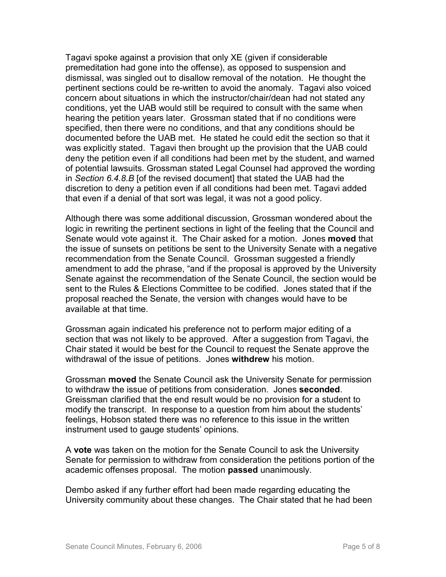Tagavi spoke against a provision that only XE (given if considerable premeditation had gone into the offense), as opposed to suspension and dismissal, was singled out to disallow removal of the notation. He thought the pertinent sections could be re-written to avoid the anomaly. Tagavi also voiced concern about situations in which the instructor/chair/dean had not stated any conditions, yet the UAB would still be required to consult with the same when hearing the petition years later. Grossman stated that if no conditions were specified, then there were no conditions, and that any conditions should be documented before the UAB met. He stated he could edit the section so that it was explicitly stated. Tagavi then brought up the provision that the UAB could deny the petition even if all conditions had been met by the student, and warned of potential lawsuits. Grossman stated Legal Counsel had approved the wording in *Section 6.4.8.B* [of the revised document] that stated the UAB had the discretion to deny a petition even if all conditions had been met. Tagavi added that even if a denial of that sort was legal, it was not a good policy.

Although there was some additional discussion, Grossman wondered about the logic in rewriting the pertinent sections in light of the feeling that the Council and Senate would vote against it. The Chair asked for a motion. Jones **moved** that the issue of sunsets on petitions be sent to the University Senate with a negative recommendation from the Senate Council. Grossman suggested a friendly amendment to add the phrase, "and if the proposal is approved by the University Senate against the recommendation of the Senate Council, the section would be sent to the Rules & Elections Committee to be codified. Jones stated that if the proposal reached the Senate, the version with changes would have to be available at that time.

Grossman again indicated his preference not to perform major editing of a section that was not likely to be approved. After a suggestion from Tagavi, the Chair stated it would be best for the Council to request the Senate approve the withdrawal of the issue of petitions. Jones **withdrew** his motion.

Grossman **moved** the Senate Council ask the University Senate for permission to withdraw the issue of petitions from consideration. Jones **seconded**. Greissman clarified that the end result would be no provision for a student to modify the transcript. In response to a question from him about the students' feelings, Hobson stated there was no reference to this issue in the written instrument used to gauge students' opinions.

A **vote** was taken on the motion for the Senate Council to ask the University Senate for permission to withdraw from consideration the petitions portion of the academic offenses proposal. The motion **passed** unanimously.

Dembo asked if any further effort had been made regarding educating the University community about these changes. The Chair stated that he had been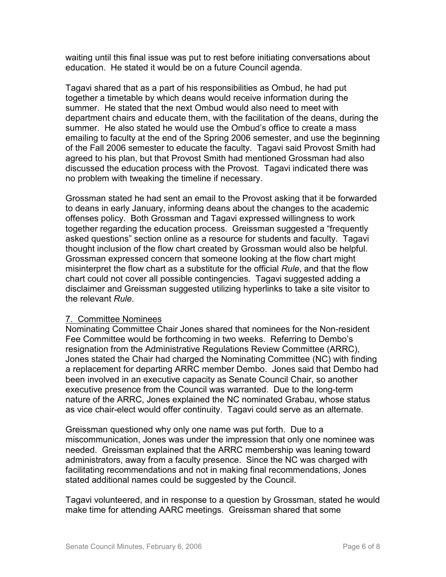waiting until this final issue was put to rest before initiating conversations about education. He stated it would be on a future Council agenda.

Tagavi shared that as a part of his responsibilities as Ombud, he had put together a timetable by which deans would receive information during the summer. He stated that the next Ombud would also need to meet with department chairs and educate them, with the facilitation of the deans, during the summer. He also stated he would use the Ombud's office to create a mass emailing to faculty at the end of the Spring 2006 semester, and use the beginning of the Fall 2006 semester to educate the faculty. Tagavi said Provost Smith had agreed to his plan, but that Provost Smith had mentioned Grossman had also discussed the education process with the Provost. Tagavi indicated there was no problem with tweaking the timeline if necessary.

Grossman stated he had sent an email to the Provost asking that it be forwarded to deans in early January, informing deans about the changes to the academic offenses policy. Both Grossman and Tagavi expressed willingness to work together regarding the education process. Greissman suggested a "frequently asked questions" section online as a resource for students and faculty. Tagavi thought inclusion of the flow chart created by Grossman would also be helpful. Grossman expressed concern that someone looking at the flow chart might misinterpret the flow chart as a substitute for the official *Rule*, and that the flow chart could not cover all possible contingencies. Tagavi suggested adding a disclaimer and Greissman suggested utilizing hyperlinks to take a site visitor to the relevant *Rule*.

# 7. Committee Nominees

Nominating Committee Chair Jones shared that nominees for the Non-resident Fee Committee would be forthcoming in two weeks. Referring to Dembo's resignation from the Administrative Regulations Review Committee (ARRC), Jones stated the Chair had charged the Nominating Committee (NC) with finding a replacement for departing ARRC member Dembo. Jones said that Dembo had been involved in an executive capacity as Senate Council Chair, so another executive presence from the Council was warranted. Due to the long-term nature of the ARRC, Jones explained the NC nominated Grabau, whose status as vice chair-elect would offer continuity. Tagavi could serve as an alternate.

Greissman questioned why only one name was put forth. Due to a miscommunication, Jones was under the impression that only one nominee was needed. Greissman explained that the ARRC membership was leaning toward administrators, away from a faculty presence. Since the NC was charged with facilitating recommendations and not in making final recommendations, Jones stated additional names could be suggested by the Council.

Tagavi volunteered, and in response to a question by Grossman, stated he would make time for attending AARC meetings. Greissman shared that some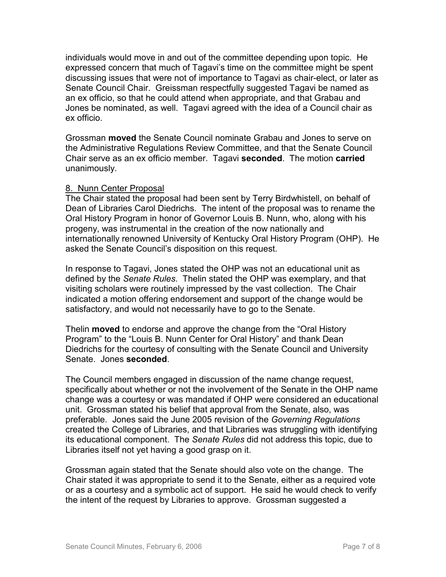individuals would move in and out of the committee depending upon topic. He expressed concern that much of Tagavi's time on the committee might be spent discussing issues that were not of importance to Tagavi as chair-elect, or later as Senate Council Chair. Greissman respectfully suggested Tagavi be named as an ex officio, so that he could attend when appropriate, and that Grabau and Jones be nominated, as well. Tagavi agreed with the idea of a Council chair as ex officio.

Grossman **moved** the Senate Council nominate Grabau and Jones to serve on the Administrative Regulations Review Committee, and that the Senate Council Chair serve as an ex officio member. Tagavi **seconded**. The motion **carried** unanimously.

### 8. Nunn Center Proposal

The Chair stated the proposal had been sent by Terry Birdwhistell, on behalf of Dean of Libraries Carol Diedrichs. The intent of the proposal was to rename the Oral History Program in honor of Governor Louis B. Nunn, who, along with his progeny, was instrumental in the creation of the now nationally and internationally renowned University of Kentucky Oral History Program (OHP). He asked the Senate Council's disposition on this request.

In response to Tagavi, Jones stated the OHP was not an educational unit as defined by the *Senate Rules*. Thelin stated the OHP was exemplary, and that visiting scholars were routinely impressed by the vast collection. The Chair indicated a motion offering endorsement and support of the change would be satisfactory, and would not necessarily have to go to the Senate.

Thelin **moved** to endorse and approve the change from the "Oral History Program" to the "Louis B. Nunn Center for Oral History" and thank Dean Diedrichs for the courtesy of consulting with the Senate Council and University Senate. Jones **seconded**.

The Council members engaged in discussion of the name change request, specifically about whether or not the involvement of the Senate in the OHP name change was a courtesy or was mandated if OHP were considered an educational unit. Grossman stated his belief that approval from the Senate, also, was preferable. Jones said the June 2005 revision of the *Governing Regulations* created the College of Libraries, and that Libraries was struggling with identifying its educational component. The *Senate Rules* did not address this topic, due to Libraries itself not yet having a good grasp on it.

Grossman again stated that the Senate should also vote on the change. The Chair stated it was appropriate to send it to the Senate, either as a required vote or as a courtesy and a symbolic act of support. He said he would check to verify the intent of the request by Libraries to approve. Grossman suggested a